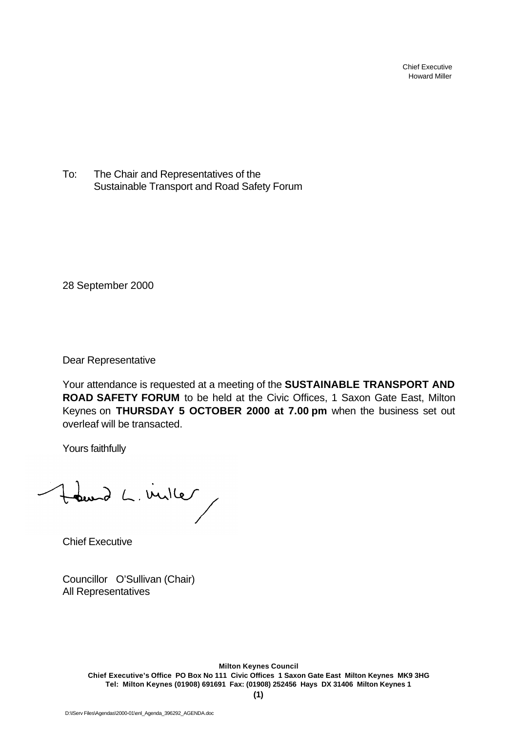Chief Executive Howard Miller

To: The Chair and Representatives of the Sustainable Transport and Road Safety Forum

28 September 2000

Dear Representative

Your attendance is requested at a meeting of the **SUSTAINABLE TRANSPORT AND ROAD SAFETY FORUM** to be held at the Civic Offices, 1 Saxon Gate East, Milton Keynes on **THURSDAY 5 OCTOBER 2000 at 7.00 pm** when the business set out overleaf will be transacted.

Yours faithfully

tourd L. ville

Chief Executive

Councillor O'Sullivan (Chair) All Representatives

> **Milton Keynes Council Chief Executive's Office PO Box No 111 Civic Offices 1 Saxon Gate East Milton Keynes MK9 3HG Tel: Milton Keynes (01908) 691691 Fax: (01908) 252456 Hays DX 31406 Milton Keynes 1**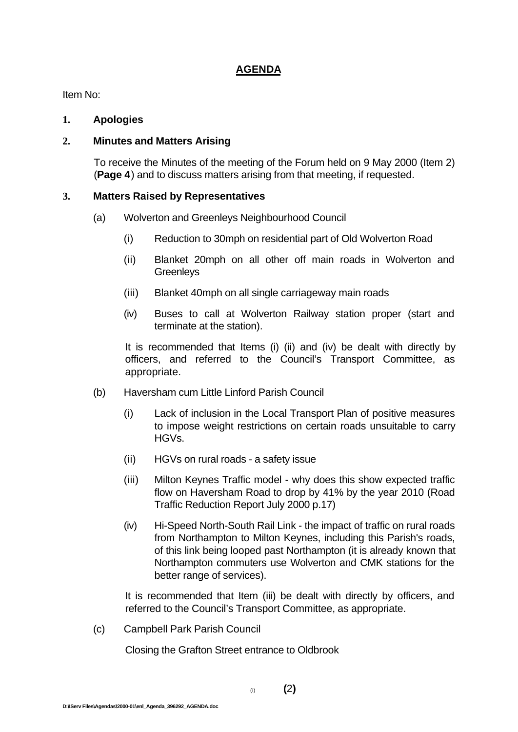# **AGENDA**

Item No:

#### **1. Apologies**

# **2. Minutes and Matters Arising**

To receive the Minutes of the meeting of the Forum held on 9 May 2000 (Item 2) (**Page 4**) and to discuss matters arising from that meeting, if requested.

### **3. Matters Raised by Representatives**

- (a) Wolverton and Greenleys Neighbourhood Council
	- (i) Reduction to 30mph on residential part of Old Wolverton Road
	- (ii) Blanket 20mph on all other off main roads in Wolverton and **Greenleys**
	- (iii) Blanket 40mph on all single carriageway main roads
	- (iv) Buses to call at Wolverton Railway station proper (start and terminate at the station).

It is recommended that Items (i) (ii) and (iv) be dealt with directly by officers, and referred to the Council's Transport Committee, as appropriate.

- (b) Haversham cum Little Linford Parish Council
	- (i) Lack of inclusion in the Local Transport Plan of positive measures to impose weight restrictions on certain roads unsuitable to carry HGVs.
	- (ii) HGVs on rural roads a safety issue
	- (iii) Milton Keynes Traffic model why does this show expected traffic flow on Haversham Road to drop by 41% by the year 2010 (Road Traffic Reduction Report July 2000 p.17)
	- (iv) Hi-Speed North-South Rail Link the impact of traffic on rural roads from Northampton to Milton Keynes, including this Parish's roads, of this link being looped past Northampton (it is already known that Northampton commuters use Wolverton and CMK stations for the better range of services).

It is recommended that Item (iii) be dealt with directly by officers, and referred to the Council's Transport Committee, as appropriate.

(c) Campbell Park Parish Council

Closing the Grafton Street entrance to Oldbrook